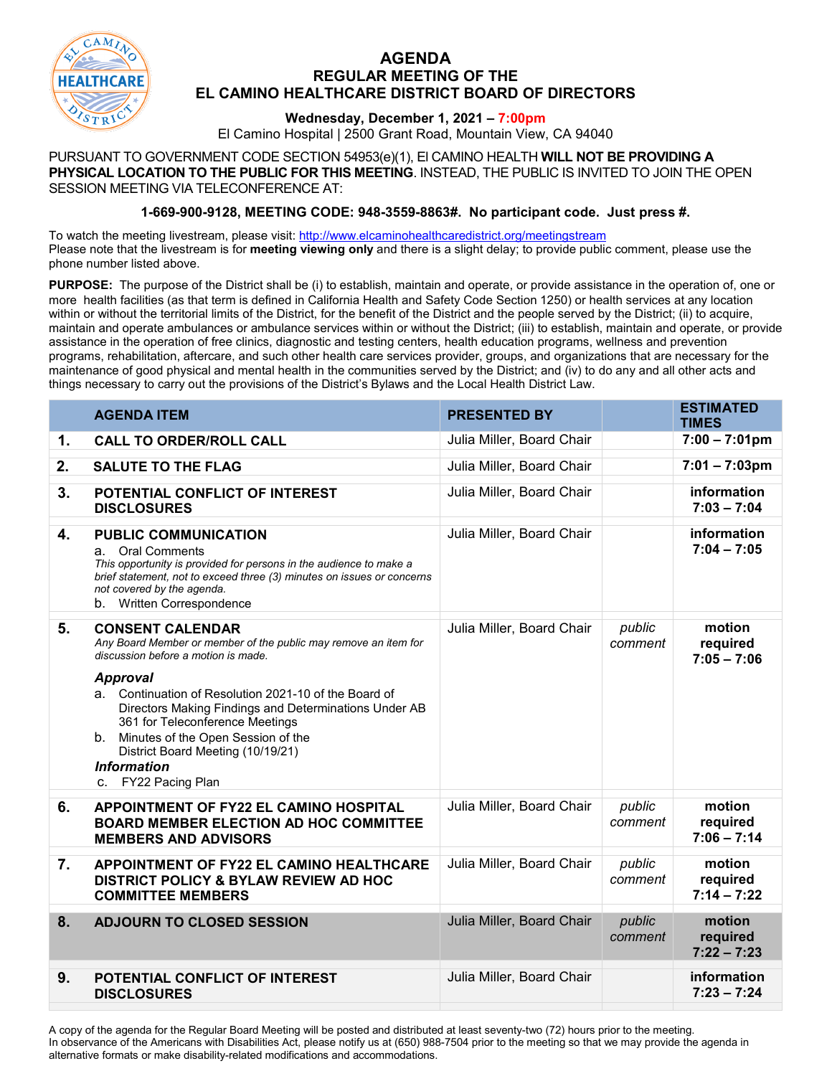

## **AGENDA REGULAR MEETING OF THE EL CAMINO HEALTHCARE DISTRICT BOARD OF DIRECTORS**

## **Wednesday, December 1, 2021 – 7:00pm**

El Camino Hospital | 2500 Grant Road, Mountain View, CA 94040

PURSUANT TO GOVERNMENT CODE SECTION 54953(e)(1), El CAMINO HEALTH **WILL NOT BE PROVIDING A PHYSICAL LOCATION TO THE PUBLIC FOR THIS MEETING**. INSTEAD, THE PUBLIC IS INVITED TO JOIN THE OPEN SESSION MEETING VIA TELECONFERENCE AT:

## **1-669-900-9128, MEETING CODE: 948-3559-8863#. No participant code. Just press #.**

To watch the meeting livestream, please visit:<http://www.elcaminohealthcaredistrict.org/meetingstream> Please note that the livestream is for **meeting viewing only** and there is a slight delay; to provide public comment, please use the phone number listed above.

**PURPOSE:** The purpose of the District shall be (i) to establish, maintain and operate, or provide assistance in the operation of, one or more health facilities (as that term is defined in California Health and Safety Code Section 1250) or health services at any location within or without the territorial limits of the District, for the benefit of the District and the people served by the District; (ii) to acquire, maintain and operate ambulances or ambulance services within or without the District; (iii) to establish, maintain and operate, or provide assistance in the operation of free clinics, diagnostic and testing centers, health education programs, wellness and prevention programs, rehabilitation, aftercare, and such other health care services provider, groups, and organizations that are necessary for the maintenance of good physical and mental health in the communities served by the District; and (iv) to do any and all other acts and things necessary to carry out the provisions of the District's Bylaws and the Local Health District Law.

|                  | <b>AGENDA ITEM</b>                                                                                                                                                                                                                                                                              | <b>PRESENTED BY</b>       |                   | <b>ESTIMATED</b><br><b>TIMES</b>    |
|------------------|-------------------------------------------------------------------------------------------------------------------------------------------------------------------------------------------------------------------------------------------------------------------------------------------------|---------------------------|-------------------|-------------------------------------|
| 1.               | <b>CALL TO ORDER/ROLL CALL</b>                                                                                                                                                                                                                                                                  | Julia Miller, Board Chair |                   | $7:00 - 7:01$ pm                    |
| 2.               | <b>SALUTE TO THE FLAG</b>                                                                                                                                                                                                                                                                       | Julia Miller, Board Chair |                   | $7:01 - 7:03$ pm                    |
| 3.               | POTENTIAL CONFLICT OF INTEREST<br><b>DISCLOSURES</b>                                                                                                                                                                                                                                            | Julia Miller, Board Chair |                   | information<br>$7:03 - 7:04$        |
| 4.               | <b>PUBLIC COMMUNICATION</b><br>a. Oral Comments<br>This opportunity is provided for persons in the audience to make a<br>brief statement, not to exceed three (3) minutes on issues or concerns<br>not covered by the agenda.<br>b. Written Correspondence                                      | Julia Miller, Board Chair |                   | information<br>$7:04 - 7:05$        |
| 5.               | <b>CONSENT CALENDAR</b><br>Any Board Member or member of the public may remove an item for<br>discussion before a motion is made.                                                                                                                                                               | Julia Miller, Board Chair | public<br>comment | motion<br>required<br>$7:05 - 7:06$ |
|                  | <b>Approval</b><br>a. Continuation of Resolution 2021-10 of the Board of<br>Directors Making Findings and Determinations Under AB<br>361 for Teleconference Meetings<br>b. Minutes of the Open Session of the<br>District Board Meeting (10/19/21)<br><b>Information</b><br>c. FY22 Pacing Plan |                           |                   |                                     |
| 6.               | <b>APPOINTMENT OF FY22 EL CAMINO HOSPITAL</b><br><b>BOARD MEMBER ELECTION AD HOC COMMITTEE</b><br><b>MEMBERS AND ADVISORS</b>                                                                                                                                                                   | Julia Miller, Board Chair | public<br>comment | motion<br>required<br>$7:06 - 7:14$ |
| $\overline{7}$ . | <b>APPOINTMENT OF FY22 EL CAMINO HEALTHCARE</b><br><b>DISTRICT POLICY &amp; BYLAW REVIEW AD HOC</b><br><b>COMMITTEE MEMBERS</b>                                                                                                                                                                 | Julia Miller, Board Chair | public<br>comment | motion<br>required<br>$7:14 - 7:22$ |
| 8.               | <b>ADJOURN TO CLOSED SESSION</b>                                                                                                                                                                                                                                                                | Julia Miller, Board Chair | public<br>comment | motion<br>required<br>$7:22 - 7:23$ |
| 9.               | POTENTIAL CONFLICT OF INTEREST<br><b>DISCLOSURES</b>                                                                                                                                                                                                                                            | Julia Miller, Board Chair |                   | information<br>$7:23 - 7:24$        |

A copy of the agenda for the Regular Board Meeting will be posted and distributed at least seventy-two (72) hours prior to the meeting. In observance of the Americans with Disabilities Act, please notify us at (650) 988-7504 prior to the meeting so that we may provide the agenda in alternative formats or make disability-related modifications and accommodations.